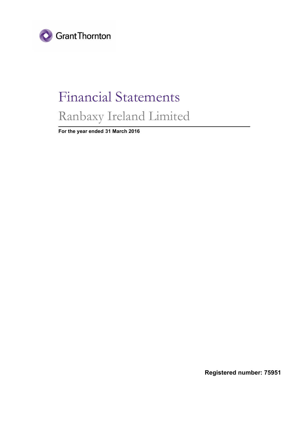

# Financial Statements Ranbaxy Ireland Limited

**For the year ended 31 March 2016**

**Registered number: 75951**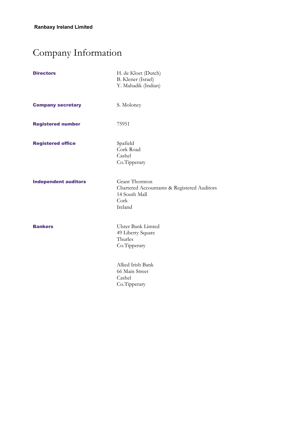## Company Information

| <b>Directors</b>            | H. de Kloet (Dutch)<br>B. Klener (Israel)<br>Y. Mahadik (Indian)                                  |
|-----------------------------|---------------------------------------------------------------------------------------------------|
| <b>Company secretary</b>    | S. Moloney                                                                                        |
| <b>Registered number</b>    | 75951                                                                                             |
| <b>Registered office</b>    | Spafield<br>Cork Road<br>Cashel<br>Co.Tipperary                                                   |
| <b>Independent auditors</b> | Grant Thornton<br>Chartered Accountants & Registered Auditors<br>14 South Mall<br>Cork<br>Ireland |
| <b>Bankers</b>              | <b>Ulster Bank Limted</b><br>49 Liberty Square<br>Thurles<br>Co.Tipperary                         |
|                             | Allied Irish Bank<br>66 Main Street<br>Cashel<br>Co.Tipperary                                     |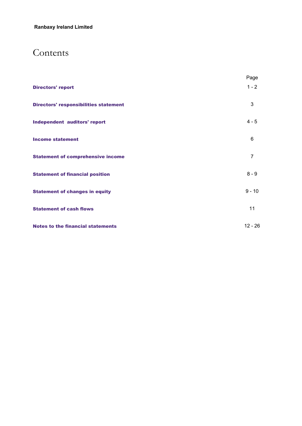### Contents

|                                              | Page           |
|----------------------------------------------|----------------|
| <b>Directors' report</b>                     | $1 - 2$        |
| <b>Directors' responsibilities statement</b> | 3              |
| <b>Independent auditors' report</b>          | $4 - 5$        |
| <b>Income statement</b>                      | 6              |
| <b>Statement of comprehensive income</b>     | $\overline{7}$ |
| <b>Statement of financial position</b>       | $8 - 9$        |
| <b>Statement of changes in equity</b>        | $9 - 10$       |
| <b>Statement of cash flows</b>               | 11             |
| <b>Notes to the financial statements</b>     | $12 - 26$      |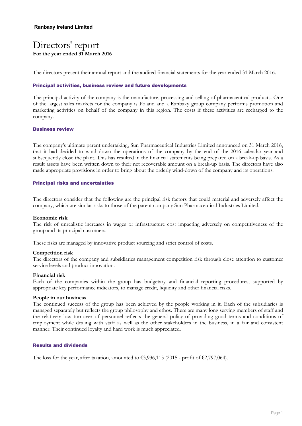### Directors' report **For the year ended 31 March 2016**

The directors present their annual report and the audited financial statements for the year ended 31 March 2016.

#### **Principal activities, business review and future developments**

The principal activity of the company is the manufacture, processing and selling of pharmaceutical products. One of the largest sales markets for the company is Poland and a Ranbaxy group company performs promotion and marketing activities on behalf of the company in this region. The costs if these activities are recharged to the company.

#### **Business review**

The company's ultimate parent undertaking, Sun Pharmaceutical Industries Limited announced on 31 March 2016, that it had decided to wind down the operations of the company by the end of the 2016 calendar year and subsequently close the plant. This has resulted in the financial statements being prepared on a break-up basis. As a result assets have been written down to their net recoverable amount on a break-up basis. The directors have also made appropriate provisions in order to bring about the orderly wind-down of the company and its operations.

#### **Principal risks and uncertainties**

The directors consider that the following are the principal risk factors that could material and adversely affect the company, which are similar risks to those of the parent company Sun Pharmaceutical Industries Limited.

#### **Economic risk**

The risk of unrealistic increases in wages or infrastructure cost impacting adversely on competitiveness of the group and its principal customers.

These risks are managed by innovative product sourcing and strict control of costs.

#### **Competition risk**

The directors of the company and subsidiaries management competition risk through close attention to customer service levels and product innovation.

#### **Financial risk**

Each of the companies within the group has budgetary and financial reporting procedures, supported by appropriate key performance indicators, to manage credit, liquidity and other financial risks.

#### **People in our business**

The continued success of the group has been achieved by the people working in it. Each of the subsidiaries is managed separately but reflects the group philosophy and ethos. There are many long serving members of staff and the relatively low turnover of personnel reflects the general policy of providing good terms and conditions of employment while dealing with staff as well as the other stakeholders in the business, in a fair and consistent manner. Their continued loyalty and hard work is much appreciated.

#### **Results and dividends**

The loss for the year, after taxation, amounted to  $\epsilon$ 3,936,115 (2015 - profit of  $\epsilon$ 2,797,064).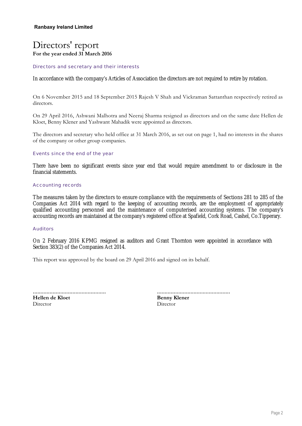### Directors' report **For the year ended 31 March 2016**

Directors and secretary and their interests

In accordance with the company's Articles of Association the directors are not required to retire by rotation.

On 6 November 2015 and 18 September 2015 Rajesh V Shah and Vickraman Sattanthan respectively retired as directors.

On 29 April 2016, Ashwani Malhotra and Neeraj Sharma resigned as directors and on the same date Hellen de Kloet, Benny Klener and Yashwant Mahadik were appointed as directors.

The directors and secretary who held office at 31 March 2016, as set out on page 1, had no interests in the shares of the company or other group companies.

#### Events since the end of the year

There have been no significant events since year end that would require amendment to or disclosure in the financial statements.

#### Accounting records

The measures taken by the directors to ensure compliance with the requirements of Sections 281 to 285 of the Companies Act 2014 with regard to the keeping of accounting records, are the employment of appropriately qualified accounting personnel and the maintenance of computerised accounting systems. The company's accounting records are maintained at the company's registered office at Spafield, Cork Road, Cashel, Co.Tipperary.

#### Auditors

On 2 February 2016 KPMG resigned as auditors and Grant Thornton were appointed in accordance with Section 383(2) of the Companies Act 2014.

This report was approved by the board on 29 April 2016 and signed on its behalf.

| Hellen de Kloet |  |
|-----------------|--|
| Director        |  |

................................................ **Benny Klener** Director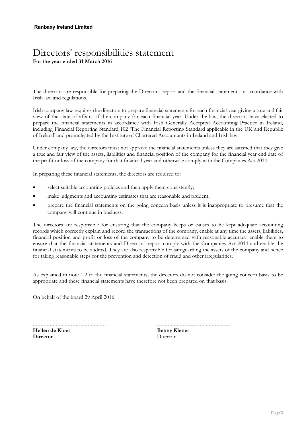### Directors' responsibilities statement **For the year ended 31 March 2016**

The directors are responsible for preparing the Directors' report and the financial statements in accordance with Irish law and regulations.

Irish company law requires the directors to prepare financial statements for each financial year giving a true and fair view of the state of affairs of the company for each financial year. Under the law, the directors have elected to prepare the financial statements in accordance with Irish Generally Accepted Accounting Practice in Ireland, including Financial Reporting Standard 102 'The Financial Reporting Standard applicable in the UK and Republic of Ireland' and promulgated by the Institute of Chartered Accountants in Ireland and Irish law.

Under company law, the directors must not approve the financial statements unless they are satisfied that they give a true and fair view of the assets, liabilities and financial position of the company for the financial year end date of the profit or loss of the company for that financial year and otherwise comply with the Companies Act 2014

In preparing these financial statements, the directors are required to:

- select suitable accounting policies and then apply them consistently;
- make judgments and accounting estimates that are reasonable and prudent;
- prepare the financial statements on the going concern basis unless it is inappropriate to presume that the company will continue in business.

The directors are responsible for ensuring that the company keeps or causes to be kept adequate accounting records which correctly explain and record the transactions of the company, enable at any time the assets, liabilities, financial position and profit or loss of the company to be determined with reasonable accuracy, enable them to ensure that the financial statements and Directors' report comply with the Companies Act 2014 and enable the financial statements to be audited. They are also responsible for safeguarding the assets of the company and hence for taking reasonable steps for the prevention and detection of fraud and other irregularities.

As explained in note 1.2 to the financial statements, the directors do not consider the going concern basis to be appropriate and these financial statements have therefore not been prepared on that basis.

On behalf of the board 29 April 2016

................................................ **Hellen de Kloet Director**

................................................

**Benny Klener** Director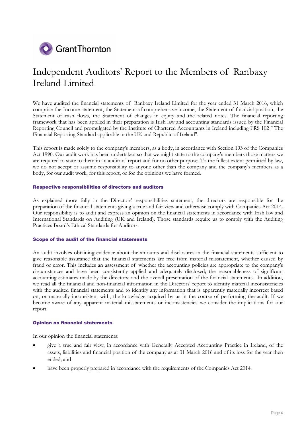

### Independent Auditors' Report to the Members of Ranbaxy Ireland Limited

We have audited the financial statements of Ranbaxy Ireland Limited for the year ended 31 March 2016, which comprise the Income statement, the Statement of comprehensive income, the Statement of financial position, the Statement of cash flows, the Statement of changes in equity and the related notes. The financial reporting framework that has been applied in their preparation is Irish law and accounting standards issued by the Financial Reporting Council and promulgated by the Institute of Chartered Accountants in Ireland including FRS 102 " The Financial Reporting Standard applicable in the UK and Republic of Ireland".

This report is made solely to the company's members, as a body, in accordance with Section 193 of the Companies Act 1990. Our audit work has been undertaken so that we might state to the company's members those matters we are required to state to them in an auditors' report and for no other purpose. To the fullest extent permitted by law, we do not accept or assume responsibility to anyone other than the company and the company's members as a body, for our audit work, for this report, or for the opinions we have formed.

#### **Respective responsibilities of directors and auditors**

As explained more fully in the Directors' responsibilities statement, the directors are responsible for the preparation of the financial statements giving a true and fair view and otherwise comply with Companies Act 2014. Our responsibility is to audit and express an opinion on the financial statements in accordance with Irish law and International Standards on Auditing (UK and Ireland). Those standards require us to comply with the Auditing Practices Board's Ethical Standards for Auditors.

#### **Scope of the audit of the financial statements**

An audit involves obtaining evidence about the amounts and disclosures in the financial statements sufficient to give reasonable assurance that the financial statements are free from material misstatement, whether caused by fraud or error. This includes an assessment of: whether the accounting policies are appropriate to the company's circumstances and have been consistently applied and adequately disclosed; the reasonableness of significant accounting estimates made by the directors; and the overall presentation of the financial statements. In addition, we read all the financial and non-financial information in the Directors' report to identify material inconsistencies with the audited financial statements and to identify any information that is apparently materially incorrect based on, or materially inconsistent with, the knowledge acquired by us in the course of performing the audit. If we become aware of any apparent material misstatements or inconsistencies we consider the implications for our report.

#### **Opinion on financial statements**

In our opinion the financial statements:

- give a true and fair view, in accordance with Generally Accepted Accounting Practice in Ireland, of the assets, liabilities and financial position of the company as at 31 March 2016 and of its loss for the year then ended; and
- have been properly prepared in accordance with the requirements of the Companies Act 2014.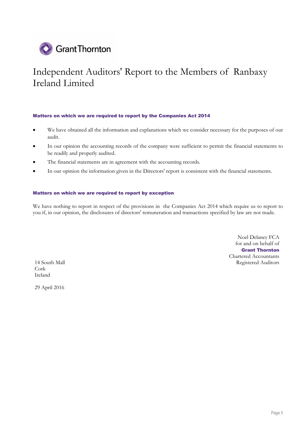

## Independent Auditors' Report to the Members of Ranbaxy Ireland Limited

#### **Matters on which we are required to report by the Companies Act 2014**

- We have obtained all the information and explanations which we consider necessary for the purposes of our audit.
- In our opinion the accounting records of the company were sufficient to permit the financial statements to be readily and properly audited.
- The financial statements are in agreement with the accounting records.
- In our opinion the information given in the Directors' report is consistent with the financial statements.

#### **Matters on which we are required to report by exception**

We have nothing to report in respect of the provisions in the Companies Act 2014 which require us to report to you if, in our opinion, the disclosures of directors' remuneration and transactions specified by law are not made.

Noel Delaney FCA for and on behalf of **Grant Thornton** Chartered Accountants 14 South Mall Registered Auditors

Cork Ireland

29 April 2016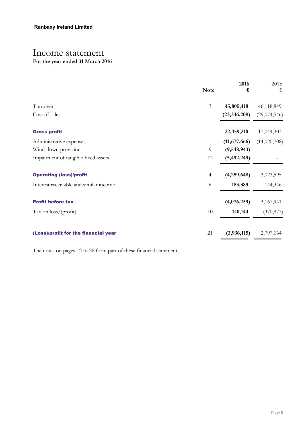## Income statement

### **For the year ended 31 March 2016**

| <b>Note</b>    | 2016<br>€      | 2015<br>€    |
|----------------|----------------|--------------|
| $\mathfrak{Z}$ | 45,805,418     | 46,118,849   |
|                | (23, 346, 208) | (29,074,546) |
|                | 22,459,210     | 17,044,303   |
|                | (11,677,666)   | (14,020,708) |
| 9              | (9,548,943)    |              |
| 12             | (5,492,249)    |              |
| $\overline{4}$ | (4,259,648)    | 3,023,595    |
| 6              | 183,389        | 144,346      |
|                | (4,076,259)    | 3,167,941    |
| 10             | 140,144        | (370, 877)   |
| 21             | (3,936,115)    | 2,797,064    |
|                |                |              |

The notes on pages 12 to 26 form part of these financial statements.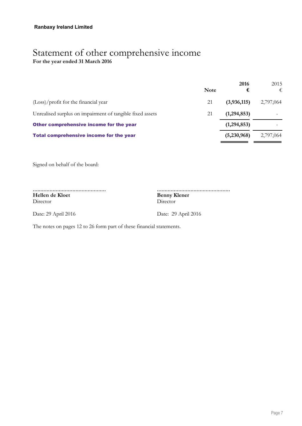### Statement of other comprehensive income **For the year ended 31 March 2016**

|                                                           | <b>Note</b> | 2016<br>€   | 2015<br>€ |
|-----------------------------------------------------------|-------------|-------------|-----------|
| (Loss)/profit for the financial year                      | 21          | (3,936,115) | 2,797,064 |
| Unrealised surplus on impairment of tangible fixed assets | 21          | (1,294,853) |           |
| Other comprehensive income for the year                   |             | (1,294,853) |           |
| Total comprehensive income for the year                   |             | (5,230,968) | 2,797,064 |

Signed on behalf of the board:

................................................ **Hellen de Kloet** Director Director

................................................ **Benny Klener**

Date: 29 April 2016 Date: 29 April 2016

The notes on pages 12 to 26 form part of these financial statements.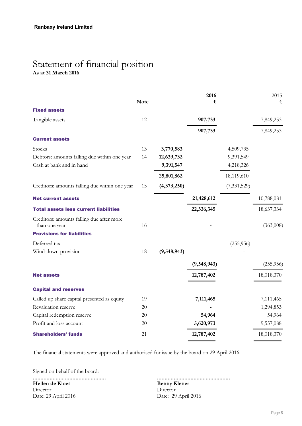### Statement of financial position **As at 31 March 2016**

|                                                            |             |             | 2016        |               | 2015       |
|------------------------------------------------------------|-------------|-------------|-------------|---------------|------------|
|                                                            | <b>Note</b> |             | €           |               | €          |
| <b>Fixed assets</b>                                        |             |             |             |               |            |
| Tangible assets                                            | 12          |             | 907,733     |               | 7,849,253  |
|                                                            |             |             | 907,733     |               | 7,849,253  |
| <b>Current assets</b>                                      |             |             |             |               |            |
| Stocks                                                     | 13          | 3,770,583   |             | 4,509,735     |            |
| Debtors: amounts falling due within one year               | 14          | 12,639,732  |             | 9,391,549     |            |
| Cash at bank and in hand                                   |             | 9,391,547   |             | 4,218,326     |            |
|                                                            |             | 25,801,862  |             | 18,119,610    |            |
| Creditors: amounts falling due within one year             | 15          | (4,373,250) |             | (7, 331, 529) |            |
| <b>Net current assets</b>                                  |             |             | 21,428,612  |               | 10,788,081 |
| <b>Total assets less current liabilities</b>               |             |             | 22,336,345  |               | 18,637,334 |
| Creditors: amounts falling due after more<br>than one year | 16          |             |             |               | (363,008)  |
| <b>Provisions for liabilities</b>                          |             |             |             |               |            |
| Deferred tax                                               |             |             |             | (255, 956)    |            |
| Wind-down provision                                        | 18          | (9,548,943) |             |               |            |
|                                                            |             |             | (9,548,943) |               | (255, 956) |
| <b>Net assets</b>                                          |             |             | 12,787,402  |               | 18,018,370 |
| <b>Capital and reserves</b>                                |             |             |             |               |            |
| Called up share capital presented as equity                | 19          |             | 7,111,465   |               | 7,111,465  |
| Revaluation reserve                                        | 20          |             |             |               | 1,294,853  |
| Capital redemption reserve                                 | 20          |             | 54,964      |               | 54,964     |
| Profit and loss account                                    | 20          |             | 5,620,973   |               | 9,557,088  |
| <b>Shareholders' funds</b>                                 | 21          |             | 12,787,402  |               | 18,018,370 |

The financial statements were approved and authorised for issue by the board on 29 April 2016.

Signed on behalf of the board:

................................................ **Hellen de Kloet** Director Date: 29 April 2016 Date: 29 April 2016

................................................ **Benny Klener**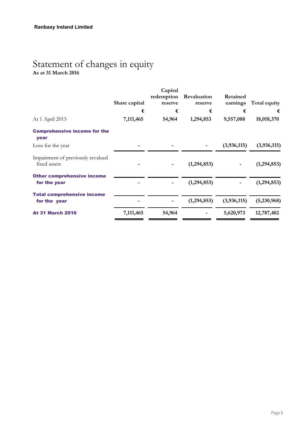### Statement of changes in equity **As at 31 March 2016**

|                                                   | Share capital | Capital<br>redemption<br>reserve | Revaluation<br>reserve | Retained<br>earnings | Total equity  |
|---------------------------------------------------|---------------|----------------------------------|------------------------|----------------------|---------------|
|                                                   | €             | €                                | €                      | €                    | €             |
| At 1 April 2015                                   | 7,111,465     | 54,964                           | 1,294,853              | 9,557,088            | 18,018,370    |
| <b>Comprehensive income for the</b><br>year       |               |                                  |                        |                      |               |
| Loss for the year                                 |               |                                  |                        | (3,936,115)          | (3,936,115)   |
| Impairment of previously revalued<br>fixed assets |               |                                  | (1, 294, 853)          |                      | (1, 294, 853) |
| <b>Other comprehensive income</b><br>for the year |               |                                  | (1, 294, 853)          |                      | (1, 294, 853) |
| <b>Total comprehensive income</b><br>for the year |               |                                  | (1,294,853)            | (3,936,115)          | (5,230,968)   |
| <b>At 31 March 2016</b>                           | 7,111,465     | 54,964                           |                        | 5,620,973            | 12,787,402    |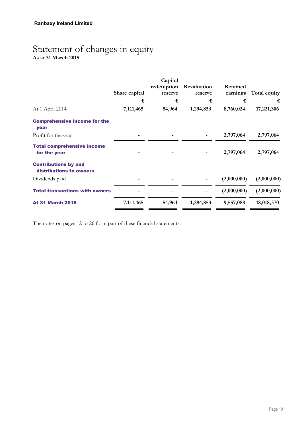## Statement of changes in equity

**As at 31 March 2015**

| Share capital | Capital<br>redemption<br>reserve | Revaluation<br>reserve | Retained<br>earnings | Total equity |
|---------------|----------------------------------|------------------------|----------------------|--------------|
| €             | €                                | €                      | €                    | €            |
| 7,111,465     | 54,964                           | 1,294,853              | 8,760,024            | 17,221,306   |
|               |                                  |                        |                      |              |
|               |                                  |                        | 2,797,064            | 2,797,064    |
|               |                                  |                        | 2,797,064            | 2,797,064    |
|               |                                  |                        |                      |              |
|               |                                  |                        | (2,000,000)          | (2,000,000)  |
|               |                                  |                        | (2,000,000)          | (2,000,000)  |
| 7,111,465     | 54,964                           | 1,294,853              | 9,557,088            | 18,018,370   |
|               |                                  |                        |                      |              |

The notes on pages 12 to 26 form part of these financial statements.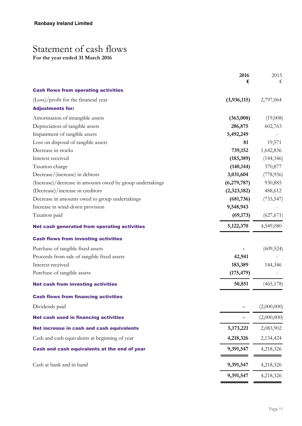## Statement of cash flows

**For the year ended 31 March 2016**

|                                                           | 2016<br>€   | 2015<br>€   |
|-----------------------------------------------------------|-------------|-------------|
| <b>Cash flows from operating activities</b>               |             |             |
| (Loss)/profit for the financial year                      | (3,936,115) | 2,797,064   |
| <b>Adjustments for:</b>                                   |             |             |
| Amortisation of intangible assets                         | (363,008)   | (19,008)    |
| Depreciation of tangible assets                           | 286,875     | 602,763     |
| Impairment of tangible assets                             | 5,492,249   |             |
| Loss on disposal of tangible assets                       | 81          | 19,571      |
| Decrease in stocks                                        | 739,152     | 1,642,836   |
| Interest received                                         | (183, 389)  | (144, 346)  |
| Taxation charge                                           | (140, 144)  | 370,877     |
| Decrease/(increase) in debtors                            | 3,031,604   | (778, 956)  |
| (Increase)/decrease in amounts owed by group undertakings | (6,279,787) | 930,885     |
| (Decrease)/increase in creditors                          | (2,323,182) | 488,612     |
| Decrease in amounts owed to group undertakings            | (681, 736)  | (733, 547)  |
| Increase in wind-down provision                           | 9,548,943   |             |
| Taxation paid                                             | (69, 173)   | (627, 671)  |
| <b>Net cash generated from operating activities</b>       | 5,122,370   | 4,549,080   |
| <b>Cash flows from investing activities</b>               |             |             |
| Purchase of tangible fixed assets                         |             | (609, 524)  |
| Proceeds from sale of tangible fixed assets               | 42,941      |             |
| Interest received                                         | 183,389     | 144,346     |
| Purchase of tangible assets                               | (175, 479)  |             |
| <b>Net cash from investing activities</b>                 | 50,851      | (465, 178)  |
| <b>Cash flows from financing activities</b>               |             |             |
| Dividends paid                                            |             | (2,000,000) |
| <b>Net cash used in financing activities</b>              |             | (2,000,000) |
| Net increase in cash and cash equivalents                 | 5, 173, 221 | 2,083,902   |
| Cash and cash equivalents at beginning of year            | 4,218,326   | 2,134,424   |
| Cash and cash equivalents at the end of year              | 9,391,547   | 4,218,326   |
| Cash at bank and in hand                                  | 9,391,547   | 4,218,326   |
|                                                           | 9,391,547   | 4,218,326   |
|                                                           |             |             |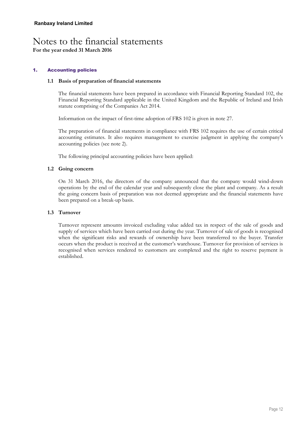#### **1. Accounting policies**

#### **1.1 Basis of preparation of financial statements**

The financial statements have been prepared in accordance with Financial Reporting Standard 102, the Financial Reporting Standard applicable in the United Kingdom and the Republic of Ireland and Irish statute comprising of the Companies Act 2014.

Information on the impact of first-time adoption of FRS 102 is given in note 27.

The preparation of financial statements in compliance with FRS 102 requires the use of certain critical accounting estimates. It also requires management to exercise judgment in applying the company's accounting policies (see note 2).

The following principal accounting policies have been applied:

#### **1.2 Going concern**

On 31 March 2016, the directors of the company announced that the company would wind-down operations by the end of the calendar year and subsequently close the plant and company. As a result the going concern basis of preparation was not deemed appropriate and the financial statements have been prepared on a break-up basis.

#### **1.3 Turnover**

Turnover represent amounts invoiced excluding value added tax in respect of the sale of goods and supply of services which have been carried out during the year. Turnover of sale of goods is recognised when the significant risks and rewards of ownership have been transferred to the buyer. Transfer occurs when the product is received at the customer's warehouse. Turnover for provision of services is recognised when services rendered to customers are completed and the right to reserve payment is established.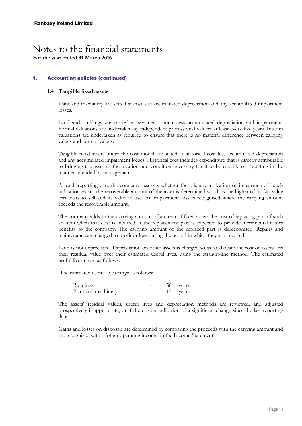**For the year ended 31 March 2016**

#### **1. Accounting policies (continued)**

#### **1.4 Tangible fixed assets**

Plant and machinery are stated at cost less accumulated depreciation and any accumulated impairment losses.

Land and buildings are carried at revalued amount less accumulated depreciation and impairment. Formal valuations are undertaken by independent professional valuers at least every five years. Interim valuations are undertaken as required to ensure that there is no material difference between carrying values and current values.

Tangible fixed assets under the cost model are stated at historical cost less accumulated depreciation and any accumulated impairment losses. Historical cost includes expenditure that is directly attributable to bringing the asset to the location and condition necessary for it to be capable of operating in the manner intended by management.

At each reporting date the company assesses whether there is any indication of impairment. If such indication exists, the recoverable amount of the asset is determined which is the higher of its fair value less costs to sell and its value in use. An impairment loss is recognised where the carrying amount exceeds the recoverable amount.

The company adds to the carrying amount of an item of fixed assets the cost of replacing part of such an item when that cost is incurred, if the replacement part is expected to provide incremental future benefits to the company. The carrying amount of the replaced part is derecognised. Repairs and maintenance are charged to profit or loss during the period in which they are incurred.

Land is not depreciated. Depreciation on other assets is charged so as to allocate the cost of assets less their residual value over their estimated useful lives, using the straight-line method. The estimated useful lives range as follows:

The estimated useful lives range as follows:

| <b>Buildings</b>    |  | 50 years |
|---------------------|--|----------|
| Plant and machinery |  | 15 years |

The assets' residual values, useful lives and depreciation methods are reviewed, and adjusted prospectively if appropriate, or if there is an indication of a significant change since the last reporting date.

Gains and losses on disposals are determined by comparing the proceeds with the carrying amount and are recognised within 'other operating income' in the Income Statement.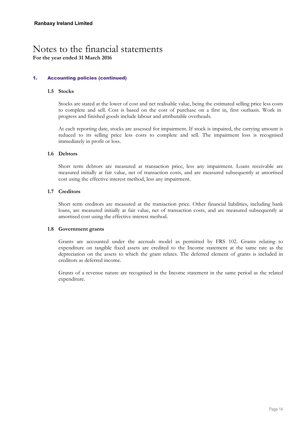**For the year ended 31 March 2016**

#### **1. Accounting policies (continued)**

#### **1.5 Stocks**

Stocks are stated at the lower of cost and net realisable value, being the estimated selling price less costs to complete and sell. Cost is based on the cost of purchase on a first in, first outbasis. Work in progress and finished goods include labour and attributable overheads.

At each reporting date, stocks are assessed for impairment. If stock is impaired, the carrying amount is reduced to its selling price less costs to complete and sell. The impairment loss is recognised immediately in profit or loss.

#### **1.6 Debtors**

Short term debtors are measured at transaction price, less any impairment. Loans receivable are measured initially at fair value, net of transaction costs, and are measured subsequently at amortised cost using the effective interest method, less any impairment.

#### **1.7 Creditors**

Short term creditors are measured at the transaction price. Other financial liabilities, including bank loans, are measured initially at fair value, net of transaction costs, and are measured subsequently at amortised cost using the effective interest method.

#### **1.8 Government grants**

Grants are accounted under the accruals model as permitted by FRS 102. Grants relating to expenditure on tangible fixed assets are credited to the Income statement at the same rate as the depreciation on the assets to which the grant relates. The deferred element of grants is included in creditors as deferred income.

Grants of a revenue nature are recognised in the Income statement in the same period as the related expenditure.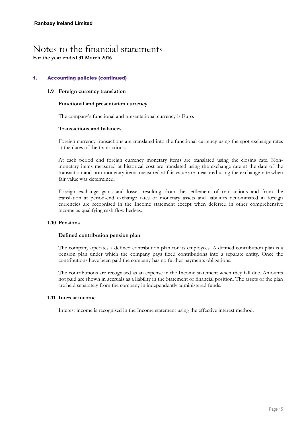**For the year ended 31 March 2016**

#### **1. Accounting policies (continued)**

#### **1.9 Foreign currency translation**

#### **Functional and presentation currency**

The company's functional and presentational currency is Euro.

#### **Transactions and balances**

Foreign currency transactions are translated into the functional currency using the spot exchange rates at the dates of the transactions.

At each period end foreign currency monetary items are translated using the closing rate. Nonmonetary items measured at historical cost are translated using the exchange rate at the date of the transaction and non-monetary items measured at fair value are measured using the exchange rate when fair value was determined.

Foreign exchange gains and losses resulting from the settlement of transactions and from the translation at period-end exchange rates of monetary assets and liabilities denominated in foreign currencies are recognised in the Income statement except when deferred in other comprehensive income as qualifying cash flow hedges.

#### **1.10 Pensions**

#### **Defined contribution pension plan**

The company operates a defined contribution plan for its employees. A defined contribution plan is a pension plan under which the company pays fixed contributions into a separate entity. Once the contributions have been paid the company has no further payments obligations.

The contributions are recognised as an expense in the Income statement when they fall due. Amounts not paid are shown in accruals as a liability in the Statement of financial position. The assets of the plan are held separately from the company in independently administered funds.

#### **1.11 Interest income**

Interest income is recognised in the Income statement using the effective interest method.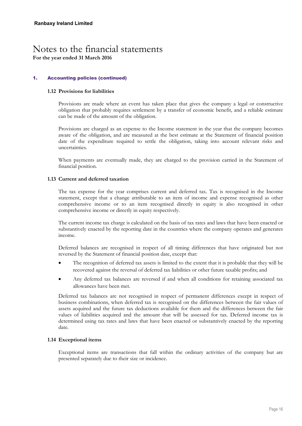**For the year ended 31 March 2016**

#### **1. Accounting policies (continued)**

#### **1.12 Provisions for liabilities**

Provisions are made where an event has taken place that gives the company a legal or constructive obligation that probably requires settlement by a transfer of economic benefit, and a reliable estimate can be made of the amount of the obligation.

Provisions are charged as an expense to the Income statement in the year that the company becomes aware of the obligation, and are measured at the best estimate at the Statement of financial position date of the expenditure required to settle the obligation, taking into account relevant risks and uncertainties.

When payments are eventually made, they are charged to the provision carried in the Statement of financial position.

#### **1.13 Current and deferred taxation**

The tax expense for the year comprises current and deferred tax. Tax is recognised in the Income statement, except that a change attributable to an item of income and expense recognised as other comprehensive income or to an item recognised directly in equity is also recognised in other comprehensive income or directly in equity respectively.

The current income tax charge is calculated on the basis of tax rates and laws that have been enacted or substantively enacted by the reporting date in the countries where the company operates and generates income.

Deferred balances are recognised in respect of all timing differences that have originated but not reversed by the Statement of financial position date, except that:

- The recognition of deferred tax assets is limited to the extent that it is probable that they will be recovered against the reversal of deferred tax liabilities or other future taxable profits; and
- Any deferred tax balances are reversed if and when all conditions for retaining associated tax allowances have been met.

Deferred tax balances are not recognised in respect of permanent differences except in respect of business combinations, when deferred tax is recognised on the differences between the fair values of assets acquired and the future tax deductions available for them and the differences between the fair values of liabilities acquired and the amount that will be assessed for tax. Deferred income tax is determined using tax rates and laws that have been enacted or substantively enacted by the reporting date.

#### **1.14 Exceptional items**

Exceptional items are transactions that fall within the ordinary activities of the company but are presented separately due to their size or incidence.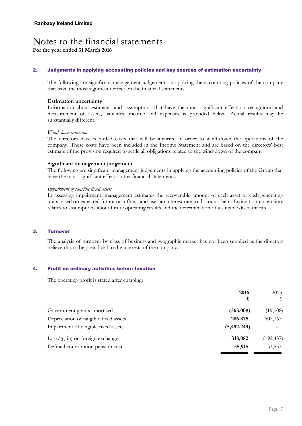**For the year ended 31 March 2016**

#### **2. Judgments in applying accounting policies and key sources of estimation uncertainty**

The following are significant management judgements in applying the accounting policies of the company that have the most significant effect on the financial statements.

#### **Estimation uncertainty**

Information about estimates and assumptions that have the most significant effect on recognition and measurement of assets, liabilities, income and expenses is provided below. Actual results may be substantially different.

#### *Wind-down provision*

The directors have recorded costs that will be incurred in order to wind-down the operations of the company. These costs have been included in the Income Statement and are based on the directors' best estimate of the provision required to settle all obligations related to the wind-down of the company.

#### **Significant management judgement**

The following are significant management judgements in applying the accounting policies of the Group that have the most significant effect on the financial statements.

#### *Impairment of tangible fixed assets*

In assessing impairment, management estimates the recoverable amount of each asset or cash-generating units based on expected future cash flows and uses an interest rate to discount them. Estimation uncertainty relates to assumptions about future operating results and the determination of a suitable discount rate.

#### **3. Turnover**

The analysis of turnover by class of business and geographic market has not been supplied as the directors believe this to be prejudicial to the interests of the company.

#### **4. Profit on ordinary activities before taxation**

The operating profit is stated after charging:

|                                       | 2016        | 2015       |
|---------------------------------------|-------------|------------|
|                                       | €           | €          |
| Government grants amortised           | (363,008)   | (19,008)   |
| Depreciation of tangible fixed assets | 286,875     | 602,763    |
| Impairment of tangible fixed assets   | (5,492,249) |            |
| $Loss/(gain)$ on foreign exchange     | 318,082     | (192, 437) |
| Defined contribution pension cost     | 55,915      | 53,557     |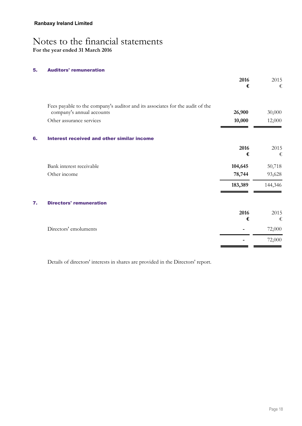#### **5. Auditors' remuneration**

| Fees payable to the company's auditor and its associates for the audit of the |           |           |
|-------------------------------------------------------------------------------|-----------|-----------|
| company's annual accounts                                                     | 26,900    | 30,000    |
| Other assurance services                                                      | 10,000    | 12,000    |
| 6.<br>Interest received and other similar income                              |           |           |
|                                                                               | 2016<br>€ | 2015<br>€ |
| Bank interest receivable                                                      | 104,645   | 50,718    |
| Other income                                                                  | 78,744    | 93,628    |
|                                                                               | 183,389   | 144,346   |
| <b>Directors' remuneration</b><br>7.                                          |           |           |
|                                                                               | 2016      | 2015      |
|                                                                               | €         | €         |
| Directors' emoluments                                                         |           | 72,000    |
|                                                                               |           | 72,000    |

Details of directors' interests in shares are provided in the Directors' report.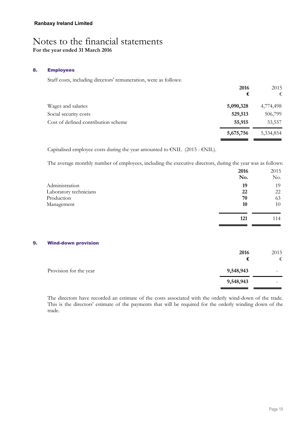#### **8. Employees**

Staff costs, including directors' remuneration, were as follows:

| 2016<br>€ | 2015<br>€ |
|-----------|-----------|
| 5,090,328 | 4,774,498 |
| 529,513   | 506,799   |
| 55,915    | 53,557    |
| 5,675,756 | 5,334,854 |
|           |           |

Capitalised employee costs during the year amounted to  $\epsilon$ NIL (2015 -  $\epsilon$ NIL).

The average monthly number of employees, including the executive directors, during the year was as follows:

|    |                            | 2016<br>No. | 2015<br>No. |
|----|----------------------------|-------------|-------------|
|    | Administration             | 19          | 19          |
|    | Laboratory technicians     | 22          | 22          |
|    | Production                 | 70          | 63          |
|    | Management                 | 10          | 10          |
|    |                            | 121         | 114         |
| 9. | <b>Wind-down provision</b> |             |             |
|    |                            | 2016        | 2015        |
|    |                            | €           | €           |
|    | Provision for the year     | 9,548,943   |             |
|    |                            | 9,548,943   |             |
|    |                            |             |             |

The directors have recorded an estimate of the costs associated with the orderly wind-down of the trade. This is the directors' estimate of the payments that will be required for the orderly winding down of the trade.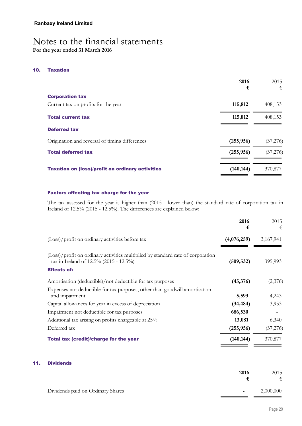#### **10. Taxation**

|                                                         | 2016<br>€  | 2015<br>€ |
|---------------------------------------------------------|------------|-----------|
| <b>Corporation tax</b>                                  |            |           |
| Current tax on profits for the year                     | 115,812    | 408,153   |
| <b>Total current tax</b>                                | 115,812    | 408,153   |
| <b>Deferred tax</b>                                     |            |           |
| Origination and reversal of timing differences          | (255, 956) | (37,276)  |
| <b>Total deferred tax</b>                               | (255, 956) | (37,276)  |
| <b>Taxation on (loss)/profit on ordinary activities</b> | (140, 144) | 370,877   |

#### **Factors affecting tax charge for the year**

The tax assessed for the year is higher than (2015 - lower than) the standard rate of corporation tax in Ireland of 12.5% (2015 - 12.5%). The differences are explained below:

|                                                                                                                           | 2016<br>€   | 2015<br>€ |
|---------------------------------------------------------------------------------------------------------------------------|-------------|-----------|
| (Loss)/profit on ordinary activities before tax                                                                           | (4,076,259) | 3,167,941 |
| (Loss)/profit on ordinary activities multiplied by standard rate of corporation<br>tax in Ireland of 12.5% (2015 - 12.5%) | (509, 532)  | 395,993   |
| <b>Effects of:</b>                                                                                                        |             |           |
| Amortisation (deductible)/not deductible for tax purposes                                                                 | (45,376)    | (2,376)   |
| Expenses not deductible for tax purposes, other than goodwill amortisation<br>and impairment                              | 5,593       | 4,243     |
| Capital allowances for year in excess of depreciation                                                                     | (34, 484)   | 3,953     |
| Impairment not deductible for tax purposes                                                                                | 686,530     |           |
| Additional tax arising on profits chargeable at 25%                                                                       | 13,081      | 6,340     |
| Deferred tax                                                                                                              | (255, 956)  | (37,276)  |
| <b>Total tax (credit)/charge for the year</b>                                                                             | (140, 144)  | 370,877   |

#### **11. Dividends**

|                                   | 2016   | 2015      |
|-----------------------------------|--------|-----------|
| Dividends paid on Ordinary Shares | $\sim$ | 2,000,000 |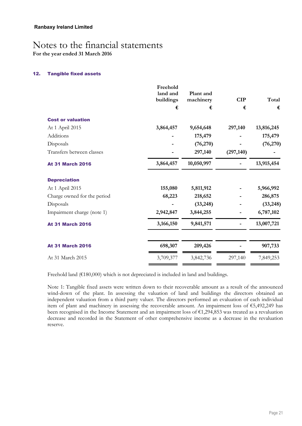**For the year ended 31 March 2016**

#### **12. Tangible fixed assets**

|                             | Freehold<br>land and<br>buildings | Plant and<br>machinery | <b>CIP</b> | Total      |
|-----------------------------|-----------------------------------|------------------------|------------|------------|
|                             | €                                 | €                      | €          | €          |
| <b>Cost or valuation</b>    |                                   |                        |            |            |
| At 1 April 2015             | 3,864,457                         | 9,654,648              | 297,140    | 13,816,245 |
| Additions                   |                                   | 175,479                |            | 175,479    |
| Disposals                   |                                   | (76,270)               |            | (76, 270)  |
| Transfers between classes   |                                   | 297,140                | (297, 140) |            |
| <b>At 31 March 2016</b>     | 3,864,457                         | 10,050,997             |            | 13,915,454 |
| <b>Depreciation</b>         |                                   |                        |            |            |
| At 1 April 2015             | 155,080                           | 5,811,912              |            | 5,966,992  |
| Charge owned for the period | 68,223                            | 218,652                |            | 286,875    |
| Disposals                   |                                   | (33,248)               |            | (33, 248)  |
| Impairment charge (note 1)  | 2,942,847                         | 3,844,255              |            | 6,787,102  |
| <b>At 31 March 2016</b>     | 3,166,150                         | 9,841,571              |            | 13,007,721 |
| <b>At 31 March 2016</b>     | 698,307                           | 209,426                |            | 907,733    |
| At 31 March 2015            | 3,709,377                         | 3,842,736              | 297,140    | 7,849,253  |

Freehold land (€180,000) which is not depreciated is included in land and buildings.

Note 1: Tangible fixed assets were written down to their recoverable amount as a result of the announced wind-down of the plant. In assessing the valuation of land and buildings the directors obtained an independent valuation from a third party valuer. The directors performed an evaluation of each individual item of plant and machinery in assessing the recoverable amount. An impairment loss of €5,492,249 has been recognised in the Income Statement and an impairment loss of €1,294,853 was treated as a revaluation decrease and recorded in the Statement of other comprehensive income as a decrease in the revaluation reserve.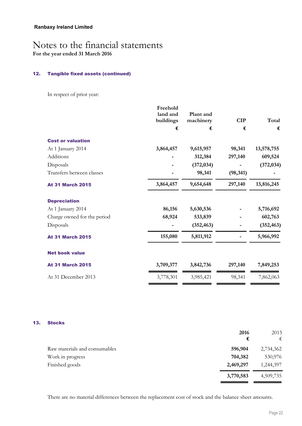**For the year ended 31 March 2016**

#### **12. Tangible fixed assets (continued)**

In respect of prior year:

|                             | Freehold<br>land and | Plant and  |            |            |
|-----------------------------|----------------------|------------|------------|------------|
|                             | buildings            | machinery  | <b>CIP</b> | Total      |
|                             | €                    | €          | €          | €          |
| <b>Cost or valuation</b>    |                      |            |            |            |
| At 1 January 2014           | 3,864,457            | 9,615,957  | 98,341     | 13,578,755 |
| Additions                   |                      | 312,384    | 297,140    | 609,524    |
| Disposals                   |                      | (372, 034) |            | (372, 034) |
| Transfers between classes   |                      | 98,341     | (98, 341)  |            |
| <b>At 31 March 2015</b>     | 3,864,457            | 9,654,648  | 297,140    | 13,816,245 |
| <b>Depreciation</b>         |                      |            |            |            |
| At 1 January 2014           | 86,156               | 5,630,536  |            | 5,716,692  |
| Charge owned for the period | 68,924               | 533,839    |            | 602,763    |
| Disposals                   |                      | (352, 463) |            | (352, 463) |
| <b>At 31 March 2015</b>     | 155,080              | 5,811,912  |            | 5,966,992  |
| <b>Net book value</b>       |                      |            |            |            |
| <b>At 31 March 2015</b>     | 3,709,377            | 3,842,736  | 297,140    | 7,849,253  |
| At 31 December 2013         | 3,778,301            | 3,985,421  | 98,341     | 7,862,063  |

#### **13. Stocks**

|                               | 2016<br>€ | 2015<br>€ |
|-------------------------------|-----------|-----------|
| Raw materials and consumables | 596,904   | 2,734,362 |
| Work in progress              | 704,382   | 530,976   |
| Finished goods                | 2,469,297 | 1,244,397 |
|                               | 3,770,583 | 4,509,735 |

There are no material differences between the replacement cost of stock and the balance sheet amounts.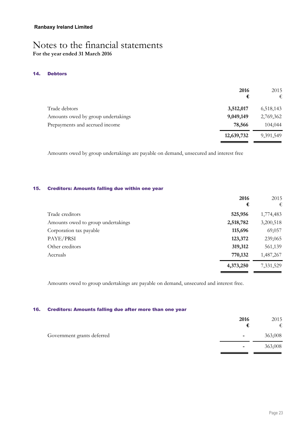#### **14. Debtors**

|                                    | 2016<br>€  | 2015<br>€ |
|------------------------------------|------------|-----------|
| Trade debtors                      | 3,512,017  | 6,518,143 |
| Amounts owed by group undertakings | 9,049,149  | 2,769,362 |
| Prepayments and accrued income     | 78,566     | 104,044   |
|                                    | 12,639,732 | 9,391,549 |

Amounts owed by group undertakings are payable on demand, unsecured and interest free

#### **15. Creditors: Amounts falling due within one year**

|                                    | 2016      | 2015      |
|------------------------------------|-----------|-----------|
|                                    | €         | €         |
| Trade creditors                    | 525,956   | 1,774,483 |
| Amounts owed to group undertakings | 2,518,782 | 3,200,518 |
| Corporation tax payable            | 115,696   | 69,057    |
| PAYE/PRSI                          | 123,372   | 239,065   |
| Other creditors                    | 319,312   | 561,139   |
| Accruals                           | 770,132   | 1,487,267 |
|                                    | 4,373,250 | 7,331,529 |

Amounts owed to group undertakings are payable on demand, unsecured and interest free.

#### **16. Creditors: Amounts falling due after more than one year**

|                            | 2016                     | 2015<br>€ |
|----------------------------|--------------------------|-----------|
| Government grants deferred | $\overline{\phantom{a}}$ | 363,008   |
|                            | $\blacksquare$           | 363,008   |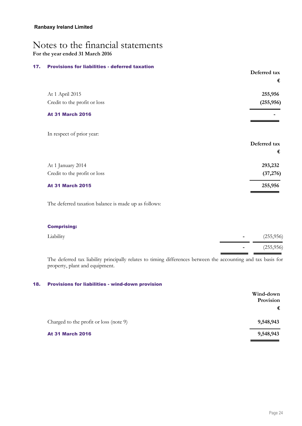#### **17. Provisions for liabilities - deferred taxation**

|                              | Deferred tax |
|------------------------------|--------------|
|                              | €            |
| At 1 April 2015              | 255,956      |
| Credit to the profit or loss | (255, 956)   |
| <b>At 31 March 2016</b>      |              |
| In respect of prior year:    |              |
|                              | Deferred tax |
|                              | €            |
| At 1 January 2014            | 293,232      |
| Credit to the profit or loss | (37, 276)    |
| <b>At 31 March 2015</b>      | 255,956      |
|                              |              |

The deferred taxation balance is made up as follows:

#### **Comprising:**

| Liability | (255,956) |
|-----------|-----------|
|           | (255,956) |

The deferred tax liability principally relates to timing differences between the accounting and tax basis for property, plant and equipment.

#### **18. Provisions for liabilities - wind-down provision**

| Wind-down<br>Provision |
|------------------------|
| €                      |
| 9,548,943              |
| 9,548,943              |
|                        |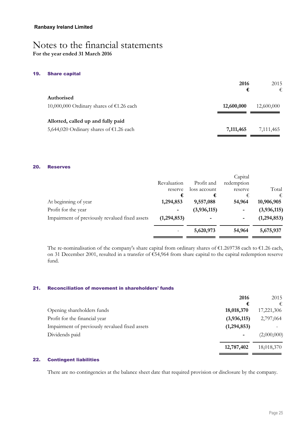**For the year ended 31 March 2016**

#### **19. Share capital**

|                                                          | 2016<br>€  | 2015<br>€  |
|----------------------------------------------------------|------------|------------|
| Authorised<br>10,000,000 Ordinary shares of $£1.26$ each | 12,600,000 | 12,600,000 |
| Allotted, called up and fully paid                       |            |            |
| 5,644,020 Ordinary shares of $£1.26$ each                | 7,111,465  | 7,111,465  |

#### **20. Reserves**

|                                                |                          |              | Capital    |             |
|------------------------------------------------|--------------------------|--------------|------------|-------------|
|                                                | Revaluation              | Profit and   | redemption |             |
|                                                | reserve                  | loss account | reserve    | Total       |
|                                                | €                        | €            | €          | €           |
| At beginning of year                           | 1,294,853                | 9,557,088    | 54,964     | 10,906,905  |
| Profit for the year                            | $\overline{\phantom{a}}$ | (3,936,115)  | ٠          | (3,936,115) |
| Impairment of previously revalued fixed assets | (1,294,853)              |              |            | (1,294,853) |
|                                                |                          | 5,620,973    | 54,964     | 5,675,937   |
|                                                |                          |              |            |             |

The re-nominalisation of the company's share capital from ordinary shares of €1.269738 each to €1.26 each, on 31 December 2001, resulted in a transfer of €54,964 from share capital to the capital redemption reserve fund.

#### **21. Reconciliation of movement in shareholders' funds**

| 2016          | 2015        |
|---------------|-------------|
| €             | €           |
| 18,018,370    | 17,221,306  |
| (3,936,115)   | 2,797,064   |
| (1, 294, 853) |             |
|               | (2,000,000) |
| 12,787,402    | 18,018,370  |
|               |             |

#### **22. Contingent liabilities**

There are no contingencies at the balance sheet date that required provision or disclosure by the company.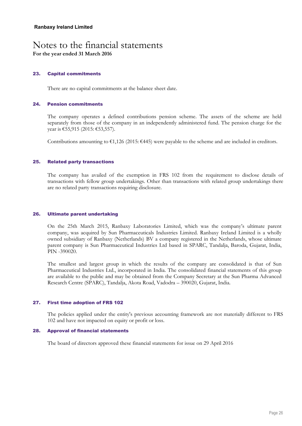**For the year ended 31 March 2016**

#### **23. Capital commitments**

There are no capital commitments at the balance sheet date.

#### **24. Pension commitments**

The company operates a defined contributions pension scheme. The assets of the scheme are held separately from those of the company in an independently administered fund. The pension charge for the year is €55,915 (2015: €53,557).

Contributions amounting to  $\epsilon$ 1,126 (2015:  $\epsilon$ 445) were payable to the scheme and are included in creditors.

#### **25. Related party transactions**

The company has availed of the exemption in FRS 102 from the requirement to disclose details of transactions with fellow group undertakings. Other than transactions with related group undertakings there are no related party transactions requiring disclosure.

#### **26. Ultimate parent undertaking**

On the 25th March 2015, Ranbaxy Laboratories Limited, which was the company's ultimate parent company, was acquired by Sun Pharmaceuticals Industries Limited. Ranbaxy Ireland Limited is a wholly owned subsidiary of Ranbaxy (Netherlands) BV a company registered in the Netherlands, whose ultimate parent company is Sun Pharmaceutical Industries Ltd based in SPARC, Tandalja, Baroda, Gujarat, India, PIN -390020.

The smallest and largest group in which the results of the company are consolidated is that of Sun Pharmaceutical Industries Ltd., incorporated in India. The consolidated financial statements of this group are available to the public and may be obtained from the Company Secretary at the Sun Pharma Advanced Research Centre (SPARC), Tandalja, Akota Road, Vadodra – 390020, Gujarat, India.

#### **27. First time adoption of FRS 102**

The policies applied under the entity's previous accounting framework are not materially different to FRS 102 and have not impacted on equity or profit or loss.

#### **28. Approval of financial statements**

The board of directors approved these financial statements for issue on 29 April 2016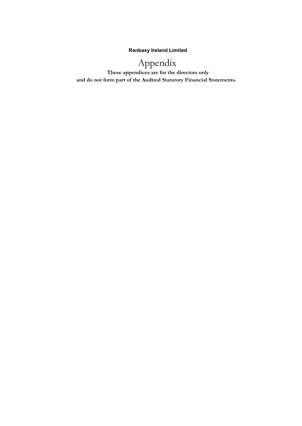**Ranbaxy Ireland Limited**

## Appendix

 **These appendices are for the directors only and do not form part of the Audited Statutory Financial Statements.**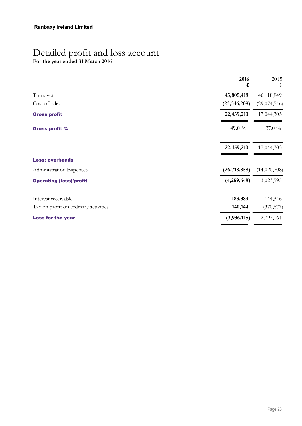## Detailed profit and loss account

**For the year ended 31 March 2016**

|                                      | 2016<br>€      | 2015<br>€    |
|--------------------------------------|----------------|--------------|
| Turnover                             | 45,805,418     | 46,118,849   |
| Cost of sales                        | (23, 346, 208) | (29,074,546) |
| <b>Gross profit</b>                  | 22,459,210     | 17,044,303   |
| <b>Gross profit %</b>                | 49.0 %         | 37.0 %       |
|                                      | 22,459,210     | 17,044,303   |
| <b>Less: overheads</b>               |                |              |
| Administration Expenses              | (26, 718, 858) | (14,020,708) |
| <b>Operating (loss)/profit</b>       | (4,259,648)    | 3,023,595    |
| Interest receivable                  | 183,389        | 144,346      |
| Tax on profit on ordinary activities | 140,144        | (370, 877)   |
| <b>Loss for the year</b>             | (3,936,115)    | 2,797,064    |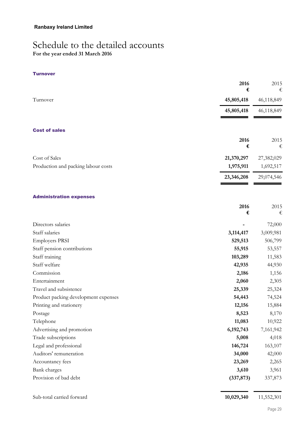## Schedule to the detailed accounts

**For the year ended 31 March 2016**

#### **Turnover**

|                                      | 2016<br>€  | 2015<br>€  |
|--------------------------------------|------------|------------|
| Turnover                             | 45,805,418 | 46,118,849 |
|                                      | 45,805,418 | 46,118,849 |
| <b>Cost of sales</b>                 |            |            |
|                                      | 2016<br>€  | 2015<br>€  |
| Cost of Sales                        | 21,370,297 | 27,382,029 |
| Production and packing labour costs  | 1,975,911  | 1,692,517  |
|                                      | 23,346,208 | 29,074,546 |
| <b>Administration expenses</b>       |            |            |
|                                      | 2016<br>€  | 2015<br>€  |
| Directors salaries                   |            | 72,000     |
| Staff salaries                       | 3,114,417  | 3,009,981  |
| <b>Employers PRSI</b>                | 529,513    | 506,799    |
| Staff pension contributions          | 55,915     | 53,557     |
| Staff training                       | 103,289    | 11,583     |
| Staff welfare                        | 42,935     | 44,930     |
| Commission                           | 2,186      | 1,156      |
| Entertainment                        | 2,060      | 2,305      |
| Travel and subsistence               | 25,339     | 25,324     |
| Product packing development expenses | 54,443     | 74,524     |
| Printing and stationery              | 12,156     | 15,884     |
| Postage                              | 8,523      | 8,170      |
| Telephone                            | 11,083     | 10,922     |
| Advertising and promotion            | 6,192,743  | 7,161,942  |
| Trade subscriptions                  | 5,008      | 4,018      |
| Legal and professional               | 146,724    | 163,107    |
| Auditors' remuneration               | 34,000     | 42,000     |
| Accountancy fees                     | 23,269     | 2,265      |
| Bank charges                         | 3,610      | 3,961      |
| Provision of bad debt                | (337, 873) | 337,873    |
| Sub-total carried forward            | 10,029,340 | 11,552,301 |